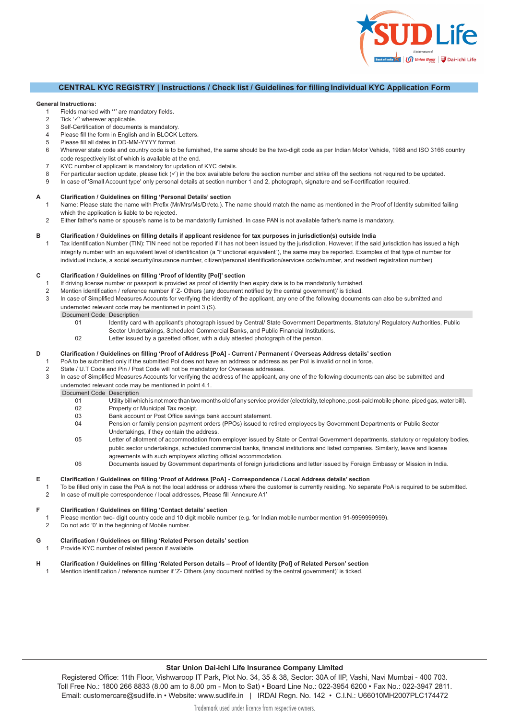## **CENTRAL KYC REGISTRY | Instructions / Check list / Guidelines for filling Individual KYC Application Form**

**Star Union Dai-ichi** 

Life Insurance

Union Bank | Dai-ichi Life

### **General Instructions:**

- 1 Fields marked with  $\cdot\cdot\cdot$  are mandatory fields.<br>2 Tick  $\cdot\cdot\cdot\cdot$  wherever applicable
- 2 Tick ' $\checkmark$ ' wherever applicable.<br>3 Self-Certification of documer
- Self-Certification of documents is mandatory.
- 4 Please fill the form in English and in BLOCK Letters.
- 5 Please fill all dates in DD-MM-YYYY format.
- 6 Wherever state code and country code is to be furnished, the same should be the two-digit code as per Indian Motor Vehicle, 1988 and ISO 3166 country code respectively list of which is available at the end.
- 7 KYC number of applicant is mandatory for updation of KYC details.
- 8 For particular section update, please tick  $(\checkmark)$  in the box available before the section number and strike off the sections not required to be updated.
- 9 In case of 'Small Account type' only personal details at section number 1 and 2, photograph, signature and self-certification required.

### **A Clarification / Guidelines on filling 'Personal Details' section**

- 1 Name: Please state the name with Prefix (Mr/Mrs/Ms/Dr/etc.). The name should match the name as mentioned in the Proof of Identity submitted failing which the application is liable to be rejected.
- 2 Either father's name or spouse's name is to be mandatorily furnished. In case PAN is not available father's name is mandatory.

## **B Clarification / Guidelines on filling details if applicant residence for tax purposes in jurisdiction(s) outside India**

1 Tax identification Number (TIN): TIN need not be reported if it has not been issued by the jurisdiction. However, if the said jurisdiction has issued a high integrity number with an equivalent level of identification (a "Functional equivalent"), the same may be reported. Examples of that type of number for individual include, a social security/insurance number, citizen/personal identification/services code/number, and resident registration number)

## **C Clarification / Guidelines on filling 'Proof of Identity [PoI]' section**

- 1 If driving license number or passport is provided as proof of identity then expiry date is to be mandatorily furnished.
- 2 Mention identification / reference number if 'Z- Others (any document notified by the central government)' is ticked.
- 3 In case of Simplified Measures Accounts for verifying the identity of the applicant, any one of the following documents can also be submitted and undernoted relevant code may be mentioned in point 3 (S).
	- Document Code Description
		- 01 Identity card with applicant's photograph issued by Central/ State Government Departments, Statutory/ Regulatory Authorities, Public Sector Undertakings, Scheduled Commercial Banks, and Public Financial Institutions.
		- 02 Letter issued by a gazetted officer, with a duly attested photograph of the person.

### **D Clarification / Guidelines on filling 'Proof of Address [PoA] - Current / Permanent / Overseas Address details' section**

- 1 PoA to be submitted only if the submitted PoI does not have an address or address as per PoI is invalid or not in force.<br>2 State / U.T Code and Pin / Post Code will not be mandatory for Overseas addresses.
- 2 State / U.T Code and Pin / Post Code will not be mandatory for Overseas addresses.<br>3 In case of Simplified Measures Accounts for verifying the address of the applicant and
- In case of Simplified Measures Accounts for verifying the address of the applicant, any one of the following documents can also be submitted and undernoted relevant code may be mentioned in point 4.1.
	- Document Code Description
		- 01 Utility bill which is not more than two months old of any service provider (electricity, telephone, post-paid mobile phone, piped gas, water bill).<br>02 Property or Municipal Tax receipt. Property or Municipal Tax receipt.
		- 03 Bank account or Post Office savings bank account statement.<br>04 Pension or family pension payment orders (PPOs) issued to r
		- Pension or family pension payment orders (PPOs) issued to retired employees by Government Departments or Public Sector Undertakings, if they contain the address.
		- 05 Letter of allotment of accommodation from employer issued by State or Central Government departments, statutory or regulatory bodies, public sector undertakings, scheduled commercial banks, financial institutions and listed companies. Similarly, leave and license agreements with such employers allotting official accommodation.
		- 06 Documents issued by Government departments of foreign jurisdictions and letter issued by Foreign Embassy or Mission in India.

### **E Clarification / Guidelines on filling 'Proof of Address [PoA] - Correspondence / Local Address details' section**

To be filled only in case the PoA is not the local address or address where the customer is currently residing. No separate PoA is required to be submitted. 2 In case of multiple correspondence / local addresses, Please fill 'Annexure A1'

### **F Clarification / Guidelines on filling 'Contact details' section**

- 1 Please mention two- digit country code and 10 digit mobile number (e.g. for Indian mobile number mention 91-9999999999).
- 2 Do not add '0' in the beginning of Mobile number.

### **G Clarification / Guidelines on filling 'Related Person details' section**

1 Provide KYC number of related person if available.

## **H Clarification / Guidelines on filling 'Related Person details – Proof of Identity [PoI] of Related Person' section**

1 Mention identification / reference number if 'Z- Others (any document notified by the central government)' is ticked.

# **Star Union Dai-ichi Life Insurance Company Limited**

Registered Office: 11<sup>th</sup> Floor, Vishwaroop IT Park, Plot No. 34, 35 & 38, Sector 30A of IIP, Vashi, Navi Mumbai - 400 703. Toll Free No.: 1800 266 8833 (9:30 am to 6:30 pm – Mon to Sat) | Tel.: 022-7196 6200 | Fax: 022-7196 2811 Email: customercare@sudlife.in | Website: www.sudlife.in | IRDAI Regn. No. 142 | CIN: U66010MH2007PLC174472 Trademark used under licence from respective owners.

We mean life!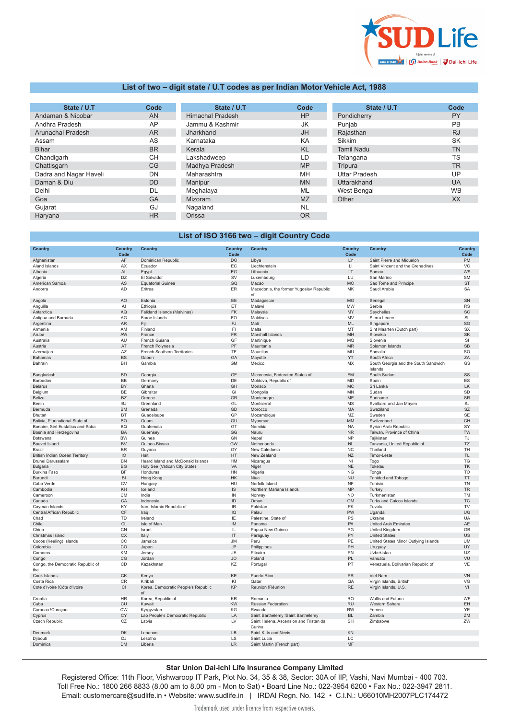

## **List of two – digit state / U.T codes as per Indian Motor Vehicle Act, 1988**

| State / U.T            | Code      | State / U.T             | Code      | State / U.T          | Code      |
|------------------------|-----------|-------------------------|-----------|----------------------|-----------|
| Andaman & Nicobar      | AN        | <b>Himachal Pradesh</b> | HP        | Pondicherry          | <b>PY</b> |
| Andhra Pradesh         | AP        | Jammu & Kashmir         | JK.       | Punjab               | <b>PB</b> |
| Arunachal Pradesh      | <b>AR</b> | Jharkhand               | <b>JH</b> | Rajasthan            | <b>RJ</b> |
| Assam                  | AS        | Karnataka               | KA        | Sikkim               | <b>SK</b> |
| <b>Bihar</b>           | <b>BR</b> | Kerala                  | <b>KL</b> | <b>Tamil Nadu</b>    | <b>TN</b> |
| Chandigarh             | CН        | Lakshadweep             | LD        | Telangana            | TS.       |
| Chattisgarh            | CG        | Madhya Pradesh          | <b>MP</b> | Tripura              | <b>TR</b> |
| Dadra and Nagar Haveli | DN        | Maharashtra             | MH        | <b>Uttar Pradesh</b> | UP        |
| Daman & Diu            | <b>DD</b> | Manipur                 | <b>MN</b> | Uttarakhand          | <b>UA</b> |
| Delhi                  | DL        | Meghalaya               | ML        | West Bengal          | <b>WB</b> |
| Goa                    | GA        | Mizoram                 | <b>MZ</b> | Other                | XX        |
| Gujarat                | GJ        | Nagaland                | <b>NL</b> |                      |           |
| Haryana                | <b>HR</b> | Orissa                  | <b>OR</b> |                      |           |

## **List of ISO 3166 two – digit Country Code**

| <b>Country</b>                           | <b>Country</b><br>Code | Country                                   | <b>Country</b><br>Code            | <b>Country</b>                                  | <b>Country</b><br>Code | <b>Country</b>                                  | <b>Country</b><br>Code                   |
|------------------------------------------|------------------------|-------------------------------------------|-----------------------------------|-------------------------------------------------|------------------------|-------------------------------------------------|------------------------------------------|
| Afghanistan                              | AF                     | Dominican Republic                        | <b>DO</b>                         | Libya                                           | LY                     | Saint Pierre and Miquelon                       | PM                                       |
| Aland Islands                            | AX                     | Ecuador                                   | EC                                | Liechtenstein                                   | $\sqcup$               | Saint Vincent and the Grenadines                | VC                                       |
| Albania                                  | AL                     | Egypt                                     | EG                                | Lithuania                                       | LT                     | Samoa                                           | WS                                       |
| Algeria                                  | DZ                     | El Salvador                               | <b>SV</b>                         | Luxembourg                                      | LU                     | San Marino                                      | <b>SM</b>                                |
| American Samoa                           | AS                     | <b>Equatorial Guinea</b>                  | GQ                                | Macao                                           | <b>MO</b>              | Sao Tome and Principe                           | <b>ST</b>                                |
| Andorra                                  | <b>AD</b>              | Eritrea                                   | ER                                | Macedonia, the former Yugoslav Republic<br>of   | MK                     | Saudi Arabia                                    | SA                                       |
| Angola                                   | AO                     | Estonia                                   | EE                                | Madagascar                                      | <b>MG</b>              | Senegal                                         | SN                                       |
| Anguilla                                 | Al                     | Ethiopia                                  | ET                                | Malawi                                          | MW                     | Serbia                                          | <b>RS</b>                                |
| Antarctica                               | AQ                     | Falkland Islands (Malvinas)               | FK                                | Malaysia                                        | MY                     | Seychelles                                      | SC                                       |
| Antigua and Barbuda                      | AG                     | Faroe Islands                             | FO                                | Maldives                                        | <b>MV</b>              | Sierra Leone                                    | <b>SL</b>                                |
| Argentina                                | AR                     | Fiji                                      | FJ                                | Mali                                            | <b>ML</b>              | Singapore                                       | SG                                       |
| Armenia                                  | AM                     | Finland                                   | FI                                | Malta                                           | MT                     | Sint Maarten (Dutch part)                       | <b>SX</b>                                |
| Aruba                                    | AW                     | France                                    | <b>FR</b>                         | Marshall Islands                                | MH                     | Slovakia                                        | SK                                       |
| Australia                                | AU                     | French Guiana                             | GF                                | Martinique                                      | <b>MQ</b>              | Slovenia                                        | <b>SI</b>                                |
| Austria                                  | AT                     | French Polynesia                          | PF                                | Mauritania                                      | <b>MR</b>              | Solomon Islands                                 | <b>SB</b>                                |
| Azerbaijan                               | AZ                     | French Southern Territories               | TF                                | Mauritius                                       | MU                     | Somalia                                         | <b>SO</b>                                |
| Bahamas                                  | <b>BS</b>              | Gabon                                     | GA                                | Mayotte                                         | YT                     | South Africa                                    | ZA                                       |
| Bahrain                                  | BH                     | Gambia                                    | <b>GM</b>                         | Mexico                                          | MX                     | South Georgia and the South Sandwich<br>Islands | GS                                       |
| Bangladesh                               | <b>BD</b>              | Georgia                                   | GE                                | Micronesia, Federated States of                 | <b>FM</b>              | South Sudan                                     | SS                                       |
| Barbados                                 | BB                     | Germany                                   | DE                                | Moldova, Republic of                            | <b>MD</b>              | Spain                                           | ES                                       |
| Belarus                                  | BY                     | Ghana                                     | GH                                | Monaco                                          | <b>MC</b>              | Sri Lanka                                       | LK                                       |
| Belgium                                  | <b>BE</b>              | Gibraltar                                 | GI                                | Mongolia                                        | <b>MN</b>              | Sudan                                           | SD                                       |
| Belize                                   | <b>BZ</b>              | Greece                                    | GR                                | Montenegro                                      | ME                     | Suriname                                        | <b>SR</b>                                |
| Benin                                    | <b>BJ</b>              | Greenland                                 | GL                                | Montserrat                                      | <b>MS</b>              | Svalbard and Jan Mayen                          | SJ                                       |
| Bermuda                                  | <b>BM</b>              | Grenada                                   | GD                                | Morocco                                         | MA                     | Swaziland                                       | <b>SZ</b>                                |
| Bhutan                                   | <b>BT</b>              | Guadeloupe                                | GP                                | Mozambique                                      | MZ                     | Sweden                                          | SE                                       |
| Bolivia, Plurinational State of          | <b>BO</b>              | Guam                                      | GU                                | Myanmar                                         | MM                     | Switzerland                                     | $\mathsf{CH}% \left( \mathcal{M}\right)$ |
| Bonaire, Sint Eustatius and Saba         | <b>BQ</b>              | Guatemala                                 | GT                                | Namibia                                         | <b>NA</b>              | Syrian Arab Republic                            | SY                                       |
| Bosnia and Herzegovina                   | <b>BA</b>              | Guernsey                                  | GG                                | Nauru                                           | <b>NR</b>              | Taiwan, Province of China                       | TW                                       |
| Botswana                                 | <b>BW</b>              | Guinea                                    | GN                                | Nepal                                           | <b>NP</b>              | Tajikistan                                      | TJ                                       |
| <b>Bouvet Island</b>                     | <b>BV</b>              | Guinea-Bissau                             | GW                                | Netherlands                                     | <b>NL</b>              | Tanzania, United Republic of                    | <b>TZ</b>                                |
| Brazil                                   | <b>BR</b>              | Guyana                                    | GY                                | New Caledonia                                   | $_{\rm NC}$            | Thailand                                        | <b>TH</b>                                |
| British Indian Ocean Territory           | IO                     | Haiti                                     | HT                                | New Zealand                                     | NZ                     | Timor-Leste                                     | <b>TL</b>                                |
| Brunei Darussalam                        | <b>BN</b>              | Heard Island and McDonald Islands         | HM                                | Nicaragua                                       | N <sub>1</sub>         | Togo                                            | TG                                       |
| Bulgaria                                 | <b>BG</b>              | Holy See (Vatican City State)             | VA                                | Niger                                           | <b>NE</b>              | Tokelau                                         | TK                                       |
| Burkina Faso                             | BF                     | Honduras                                  | ${\sf H}{\sf N}$                  | Nigeria                                         | <b>NG</b>              | Tonga                                           | <b>TO</b>                                |
| Burundi                                  | B1                     | Hong Kong                                 | HK                                | Niue                                            | <b>NU</b>              | Trinidad and Tobago                             | <b>TT</b>                                |
| Cabo Verde                               | <b>CV</b>              | Hungary                                   | HU                                | Norfolk Island                                  | <b>NF</b>              | Tunisia                                         | <b>TN</b>                                |
| Cambodia                                 | KH                     | Iceland                                   | IS.                               | Northern Mariana Islands                        | <b>MP</b>              | Turkey                                          | <b>TR</b>                                |
| Cameroon                                 | <b>CM</b>              | India                                     | IN                                | Norway                                          | <b>NO</b>              | Turkmenistan                                    | TM                                       |
| Canada                                   | CA                     | Indonesia                                 | ID                                | Oman                                            | <b>OM</b>              | Turks and Caicos Islands                        | TC                                       |
| Cayman Islands                           | KY                     | Iran, Islamic Republic of                 | $\ensuremath{\mathsf{IR}}\xspace$ | Pakistan                                        | PK                     | Tuvalu                                          | <b>TV</b>                                |
| Central African Republic                 | CF                     | Iraq                                      | IQ                                | Palau                                           | PW                     | Uganda                                          | UG                                       |
| Chad                                     | TD                     | Ireland                                   | IE                                | Palestine, State of                             | PS                     | Ukraine                                         | <b>UA</b>                                |
| Chile                                    | <b>CL</b>              | Isle of Man                               | IM                                | Panama                                          | PA                     | United Arab Emirates                            | AE                                       |
| China                                    | CN                     | Israel                                    | IL                                | Papua New Guinea                                | PG                     | United Kingdom                                  | GB                                       |
| Christmas Island                         | <b>CX</b>              | Italy                                     | IT                                | Paraguay                                        | PY                     | <b>United States</b>                            | US                                       |
| Cocos (Keeling) Islands                  | CC                     | Jamaica                                   | <b>JM</b>                         | Peru                                            | PE                     | United States Minor Outlying Islands            | <b>UM</b>                                |
| Colombia                                 | CO                     | Japan                                     | <b>JP</b>                         | Philippines                                     | PH                     | Uruguay                                         | UY                                       |
| Comoros                                  | KM                     | Jersey                                    | JE                                | Pitcairn                                        | PN                     | Uzbekistan                                      | UZ                                       |
| Congo                                    | CG                     | Jordan                                    | <b>JO</b>                         | Poland                                          | PL                     | Vanuatu                                         | VU                                       |
| Congo, the Democratic Republic of<br>the | CD                     | Kazakhstan                                | KZ                                | Portugal                                        | PT                     | Venezuela, Bolivarian Republic of               | VE                                       |
| Cook Islands                             | CK                     | Kenya                                     | KE                                | Puerto Rico                                     | PR                     | Viet Nam                                        | VN                                       |
| Costa Rica                               | CR                     | Kiribati                                  | KI                                | Qatar                                           | QA                     | Virgin Islands, British                         | VG                                       |
| Cote d'Ivoire !Côte d'Ivoire             | CI                     | Korea, Democratic People's Republic<br>of | KP                                | Reunion !Réunion                                | <b>RE</b>              | Virgin Islands, U.S.                            | VI                                       |
| Croatia                                  | <b>HR</b>              | Korea, Republic of                        | KR                                | Romania                                         | <b>RO</b>              | Wallis and Futuna                               | WF                                       |
| Cuba                                     | CU                     | Kuwait                                    | KW                                | Russian Federation                              | <b>RU</b>              | Western Sahara                                  | EH                                       |
| Curacao !Curaçao                         | <b>CW</b>              | Kyrgyzstan                                | KG                                | Rwanda                                          | <b>RW</b>              | Yemen                                           | YE                                       |
| Cyprus                                   | CY                     | Lao People's Democratic Republic          | LA                                | Saint Barthelemy !Saint Barthélemy              | <b>BL</b>              | Zambia                                          | ZM                                       |
| Czech Republic                           | CZ                     | Latvia                                    | LV                                | Saint Helena, Ascension and Tristan da<br>Cunha | <b>SH</b>              | Zimbabwe                                        | ZW                                       |
| Denmark                                  | DK                     | Lebanon                                   | LB                                | Saint Kitts and Nevis                           | KN                     |                                                 |                                          |
| Djibouti                                 | <b>DJ</b>              | Lesotho                                   | LS                                | Saint Lucia                                     | LC                     |                                                 |                                          |
| Dominica                                 | <b>DM</b>              | Liberia                                   | <b>LR</b>                         | Saint Martin (French part)                      | MF                     |                                                 |                                          |

## **Star Union Dai-ichi Life Insurance Company Limited**

Registered Office: 11th Floor, Vishwaroop IT Park, Plot No. 34, 35 & 38, Sector: 30A of IIP, Vashi, Navi Mumbai - 400 703. Toll Free No.: 1800 266 8833 (9.30 am to 6.30 pm - Mon to Sat) • Board Line No.: 022-7196 6200 • Fax No.: 022-7196 2811. Email: customercare@sudlife.in • Website: www.sudlife.in | IRDAI Regn. No. 142 • C.I.N.: U66010MH2007PLC174472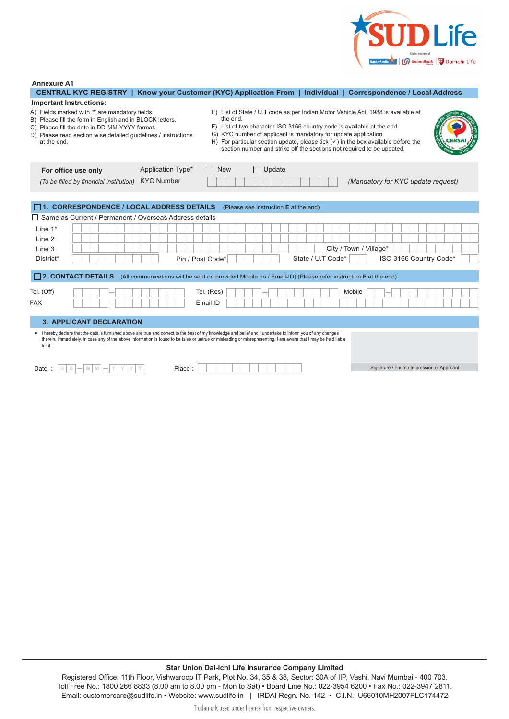

### **Annexure A1**

| CENTRAL KYC REGISTRY   Know your Customer (KYC) Application From   Individual   Correspondence / Local Address                                                                                                                                                                                                                                                                                          |                                                                                                                                                                                                                                                             |
|---------------------------------------------------------------------------------------------------------------------------------------------------------------------------------------------------------------------------------------------------------------------------------------------------------------------------------------------------------------------------------------------------------|-------------------------------------------------------------------------------------------------------------------------------------------------------------------------------------------------------------------------------------------------------------|
| <b>Important Instructions:</b>                                                                                                                                                                                                                                                                                                                                                                          |                                                                                                                                                                                                                                                             |
| A) Fields marked with "*' are mandatory fields.<br>the end.<br>B) Please fill the form in English and in BLOCK letters.<br>F) List of two character ISO 3166 country code is available at the end.<br>C) Please fill the date in DD-MM-YYYY format.<br>G) KYC number of applicant is mandatory for update application.<br>D) Please read section wise detailed guidelines / instructions<br>at the end. | E) List of State / U.T code as per Indian Motor Vehicle Act, 1988 is available at<br>H) For particular section update, please tick $(\checkmark)$ in the box available before the<br>section number and strike off the sections not required to be updated. |
| Application Type*<br>Update<br><b>New</b><br>For office use only                                                                                                                                                                                                                                                                                                                                        |                                                                                                                                                                                                                                                             |
| <b>KYC Number</b><br>(To be filled by financial institution)                                                                                                                                                                                                                                                                                                                                            | (Mandatory for KYC update request)                                                                                                                                                                                                                          |
|                                                                                                                                                                                                                                                                                                                                                                                                         |                                                                                                                                                                                                                                                             |
| 1. CORRESPONDENCE / LOCAL ADDRESS DETAILS<br>(Please see instruction E at the end)                                                                                                                                                                                                                                                                                                                      |                                                                                                                                                                                                                                                             |
| Same as Current / Permanent / Overseas Address details                                                                                                                                                                                                                                                                                                                                                  |                                                                                                                                                                                                                                                             |
| Line $1^*$                                                                                                                                                                                                                                                                                                                                                                                              |                                                                                                                                                                                                                                                             |
| Line 2                                                                                                                                                                                                                                                                                                                                                                                                  |                                                                                                                                                                                                                                                             |
| Line 3                                                                                                                                                                                                                                                                                                                                                                                                  | City / Town / Village*                                                                                                                                                                                                                                      |
| District*<br>Pin / Post Code*                                                                                                                                                                                                                                                                                                                                                                           | State / U.T Code*<br>ISO 3166 Country Code*                                                                                                                                                                                                                 |
|                                                                                                                                                                                                                                                                                                                                                                                                         |                                                                                                                                                                                                                                                             |
| [2. CONTACT DETAILS (All communications will be sent on provided Mobile no./ Email-ID) (Please refer instruction F at the end)                                                                                                                                                                                                                                                                          |                                                                                                                                                                                                                                                             |
| Tel. (Off)<br>Tel. (Res)                                                                                                                                                                                                                                                                                                                                                                                | Mobile                                                                                                                                                                                                                                                      |
| <b>FAX</b>                                                                                                                                                                                                                                                                                                                                                                                              |                                                                                                                                                                                                                                                             |
| Email ID                                                                                                                                                                                                                                                                                                                                                                                                |                                                                                                                                                                                                                                                             |
| <b>3. APPLICANT DECLARATION</b>                                                                                                                                                                                                                                                                                                                                                                         |                                                                                                                                                                                                                                                             |
| . I hereby declare that the details furnished above are true and correct to the best of my knowledge and belief and I undertake to inform you of any changes<br>therein, immediately. In case any of the above information is found to be false or untrue or misleading or misrepresenting, I am aware that I may be held liable<br>for it.                                                             |                                                                                                                                                                                                                                                             |

Date : Place : **D D M M Y Y Y Y** Signature / Thumb Impression of Applicant

## **Star Union Dai-ichi Life Insurance Company Limited**

Registered Office: 11<sup>th</sup> Floor, Vishwaroop IT Park, Plot No. 34, 35 & 38, Sector 30A of IIP, Vashi, Navi Mumbai - 400 703. Toll Free No.: 1800 266 8833 (9:30 am to 6:30 pm – Mon to Sat) | Tel.: 022-7196 6200 | Fax: 022-7196 2811 Email: customercare@sudlife.in | Website: www.sudlife.in | IRDAI Regn. No. 142 | CIN: U66010MH2007PLC174472 Trademark used under licence from respective owners.

We mean litse!